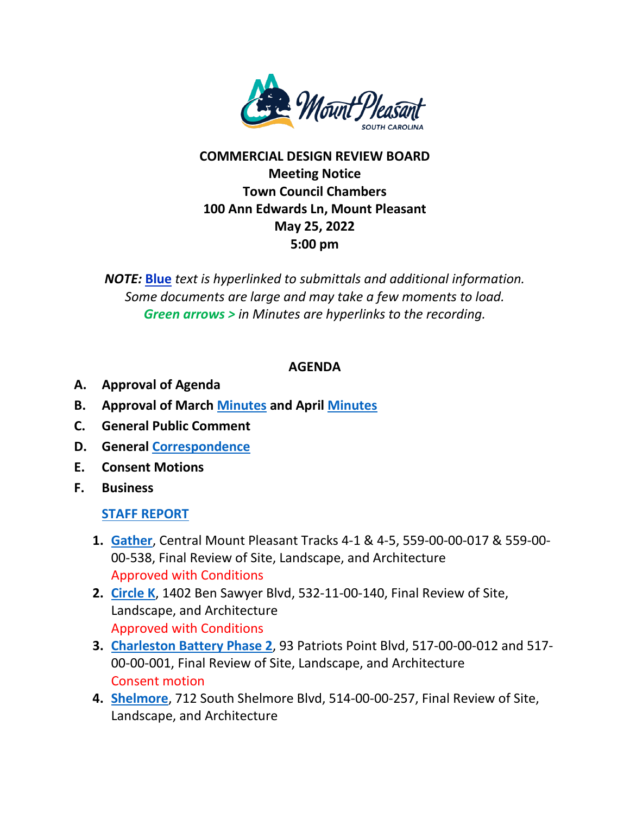

## **COMMERCIAL DESIGN REVIEW BOARD Meeting Notice Town Council Chambers 100 Ann Edwards Ln, Mount Pleasant May 25, 2022 5:00 pm**

*NOTE:* **Blue** *text is hyperlinked to submittals and additional information. Some documents are large and may take a few moments to load. Green arrows > in Minutes are hyperlinks to the recording.*

## **AGENDA**

- **A. Approval of Agenda**
- **B. Approval of March [Minutes](https://www.tompsc.com/DocumentCenter/View/41746/DRB-min-30-Mar-2022_exppdf) and April [Minutes](https://www.tompsc.com/DocumentCenter/View/41759/DRB-min-27-Apr-2022_exppdf)**
- **C. General Public Comment**
- **D. General [Correspondence](https://www.tompsc.com/DocumentCenter/View/41841/Combinedpdf-2)**
- **E. Consent Motions**
- **F. Business**

## **[STAFF REPORT](https://www.tompsc.com/DocumentCenter/View/41838/May-Staff-Report)**

- **1. [Gather](https://www.tompsc.com/DocumentCenter/View/41738/Gather-MTP-SUB-42722)**, Central Mount Pleasant Tracks 4-1 & 4-5, 559-00-00-017 & 559-00- 00-538, Final Review of Site, Landscape, and Architecture Approved with Conditions
- **2. [Circle K](https://www.tompsc.com/DocumentCenter/View/41739/Circle-K-Sub-52522)**, 1402 Ben Sawyer Blvd, 532-11-00-140, Final Review of Site, Landscape, and Architecture Approved with Conditions
- **3. [Charleston Battery Phase 2](https://www.tompsc.com/DocumentCenter/View/41740/Charleston-Battery-Phase-2-Sub-52522)**, 93 Patriots Point Blvd, 517-00-00-012 and 517- 00-00-001, Final Review of Site, Landscape, and Architecture Consent motion
- **4. [Shelmore](https://www.tompsc.com/DocumentCenter/View/41741/Shelmore-Final-Sub-52522)**, 712 South Shelmore Blvd, 514-00-00-257, Final Review of Site, Landscape, and Architecture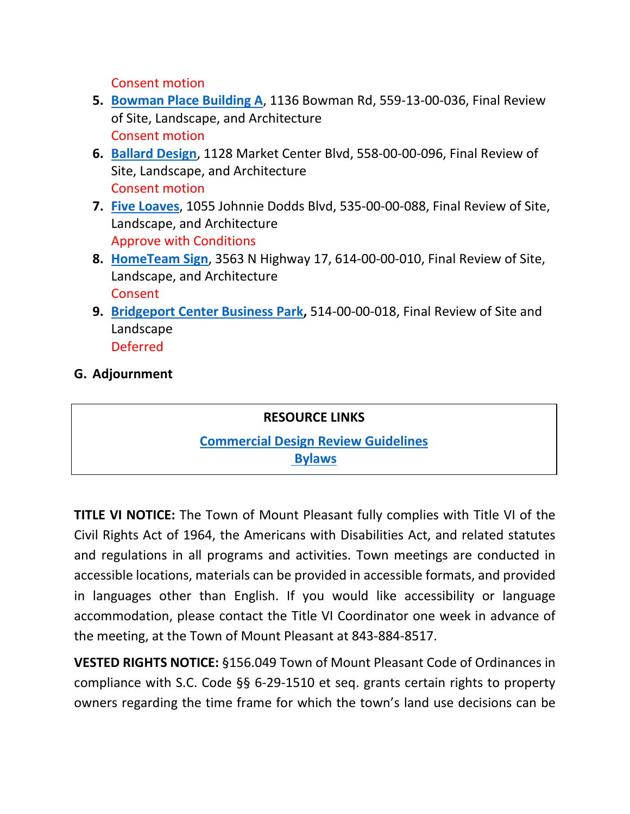Consent motion

- **5. [Bowman Place Building A](https://www.tompsc.com/DocumentCenter/View/41742/Bowman-Place-Building-A-Sub-52522)**, 1136 Bowman Rd, 559-13-00-036, Final Review of Site, Landscape, and Architecture Consent motion
- **6. [Ballard Design](https://www.tompsc.com/DocumentCenter/View/41743/Ballard-Designs-Sub-52522)**, 1128 Market Center Blvd, 558-00-00-096, Final Review of Site, Landscape, and Architecture Consent motion
- **7. [Five Loaves](https://www.tompsc.com/DocumentCenter/View/41744/Five-Loaves-Outdoor-Patio-Combined-Sub-52522)**, 1055 Johnnie Dodds Blvd, 535-00-00-088, Final Review of Site, Landscape, and Architecture Approve with Conditions
- **8. [HomeTeam Sign](https://www.tompsc.com/DocumentCenter/View/41745/Hometeam-Sign-Final-Sub-52522)**, 3563 N Highway 17, 614-00-00-010, Final Review of Site, Landscape, and Architecture Consent
- **9. [Bridgeport Center Business Park,](https://www.tompsc.com/DocumentCenter/View/41800/Bridgeport-Center)** 514-00-00-018, Final Review of Site and Landscape Deferred

## **G. Adjournment**

**RESOURCE LINKS [Commercial Design Review Guidelines](http://www.tompsc.com/DocumentCenter/Home/View/295)  [Bylaws](https://www.tompsc.com/DocumentCenter/View/36273/2020-DRB-Rules-of-Procuedure-25-Jan-2021)**

**TITLE VI NOTICE:** The Town of Mount Pleasant fully complies with Title VI of the Civil Rights Act of 1964, the Americans with Disabilities Act, and related statutes and regulations in all programs and activities. Town meetings are conducted in accessible locations, materials can be provided in accessible formats, and provided in languages other than English. If you would like accessibility or language accommodation, please contact the Title VI Coordinator one week in advance of the meeting, at the Town of Mount Pleasant at 843-884-8517.

**VESTED RIGHTS NOTICE:** §156.049 Town of Mount Pleasant Code of Ordinances in compliance with S.C. Code §§ 6-29-1510 et seq. grants certain rights to property owners regarding the time frame for which the town's land use decisions can be